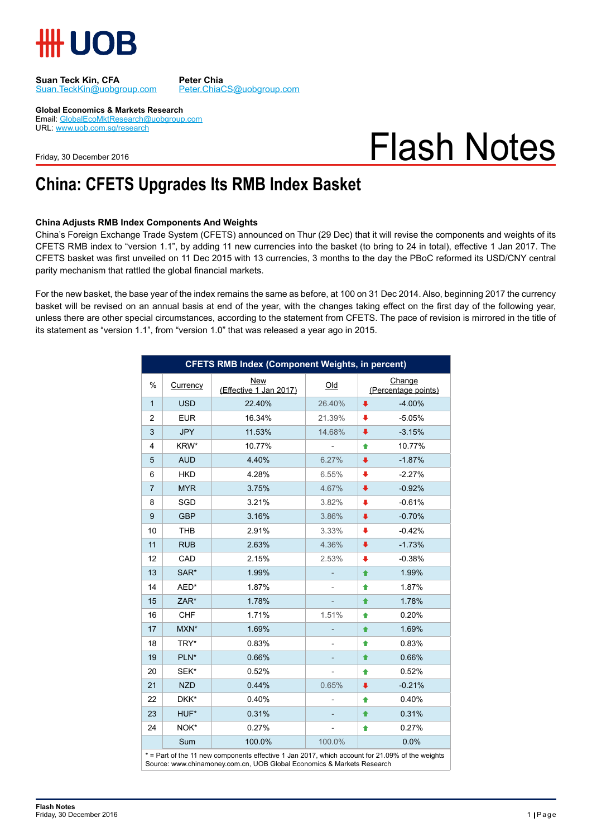

Suan.TeckKin@uobgroup.com

**Suan Teck Kin, CFA** Peter Chia<br> **Suan.TeckKin@uobgroup.com** Peter.ChiaCS@uobgroup.com

**Global Economics & Markets Research**

Email: GlobalEcoMktResearch@uobgroup.com URL: www.uob.com.sg/research

Friday, 30 December 2016

# Flash Notes

### **China: CFETS Upgrades Its RMB Index Basket**

#### **China Adjusts RMB Index Components And Weights**

China's Foreign Exchange Trade System (CFETS) announced on Thur (29 Dec) that it will revise the components and weights of its CFETS RMB index to "version 1.1", by adding 11 new currencies into the basket (to bring to 24 in total), effective 1 Jan 2017. The CFETS basket was first unveiled on 11 Dec 2015 with 13 currencies, 3 months to the day the PBoC reformed its USD/CNY central parity mechanism that rattled the global financial markets.

For the new basket, the base year of the index remains the same as before, at 100 on 31 Dec 2014. Also, beginning 2017 the currency basket will be revised on an annual basis at end of the year, with the changes taking effect on the first day of the following year, unless there are other special circumstances, according to the statement from CFETS. The pace of revision is mirrored in the title of its statement as "version 1.1", from "version 1.0" that was released a year ago in 2015.

| <b>CFETS RMB Index (Component Weights, in percent)</b>                                          |            |                                      |        |                               |
|-------------------------------------------------------------------------------------------------|------------|--------------------------------------|--------|-------------------------------|
| $\%$                                                                                            | Currency   | <b>New</b><br>(Effective 1 Jan 2017) | Qld    | Change<br>(Percentage points) |
| $\mathbf{1}$                                                                                    | <b>USD</b> | 22.40%                               | 26.40% | $-4.00%$<br>ı                 |
| $\overline{2}$                                                                                  | <b>EUR</b> | 16.34%                               | 21.39% | $-5.05%$<br>▪                 |
| 3                                                                                               | <b>JPY</b> | 11.53%                               | 14.68% | $-3.15%$<br>∎                 |
| 4                                                                                               | KRW*       | 10.77%                               |        | 10.77%<br>♠                   |
| 5                                                                                               | <b>AUD</b> | 4.40%                                | 6.27%  | $-1.87%$<br>∙                 |
| 6                                                                                               | <b>HKD</b> | 4.28%                                | 6.55%  | $-2.27%$<br>ı                 |
| $\overline{7}$                                                                                  | <b>MYR</b> | 3.75%                                | 4.67%  | $-0.92%$<br>∙                 |
| 8                                                                                               | SGD        | 3.21%                                | 3.82%  | $-0.61%$                      |
| 9                                                                                               | <b>GBP</b> | 3.16%                                | 3.86%  | $-0.70%$<br>ı                 |
| 10                                                                                              | <b>THB</b> | 2.91%                                | 3.33%  | $-0.42%$<br>⋅                 |
| 11                                                                                              | <b>RUB</b> | 2.63%                                | 4.36%  | $-1.73%$<br>ı                 |
| 12                                                                                              | CAD        | 2.15%                                | 2.53%  | $-0.38%$<br>∙                 |
| 13                                                                                              | SAR*       | 1.99%                                |        | 1.99%<br>♠                    |
| 14                                                                                              | AED*       | 1.87%                                |        | 1.87%<br>♠                    |
| 15                                                                                              | ZAR*       | 1.78%                                |        | 1.78%<br>♠                    |
| 16                                                                                              | <b>CHF</b> | 1.71%                                | 1.51%  | 0.20%<br>♠                    |
| 17                                                                                              | MXN*       | 1.69%                                |        | 1.69%<br>♠                    |
| 18                                                                                              | TRY*       | 0.83%                                |        | 0.83%<br>♠                    |
| 19                                                                                              | PLN*       | 0.66%                                |        | 0.66%<br>♠                    |
| 20                                                                                              | SEK*       | 0.52%                                |        | 0.52%<br>♠                    |
| 21                                                                                              | <b>NZD</b> | 0.44%                                | 0.65%  | $-0.21%$<br>ı                 |
| 22                                                                                              | DKK*       | 0.40%                                |        | 0.40%<br>♠                    |
| 23                                                                                              | HUF*       | 0.31%                                |        | 0.31%<br>♠                    |
| 24                                                                                              | NOK*       | 0.27%                                |        | 0.27%<br>♠                    |
|                                                                                                 | Sum        | 100.0%                               | 100.0% | 0.0%                          |
| * = Part of the 11 new components effective 1 Jan 2017, which account for 21.09% of the weights |            |                                      |        |                               |

Source: www.chinamoney.com.cn, UOB Global Economics & Markets Research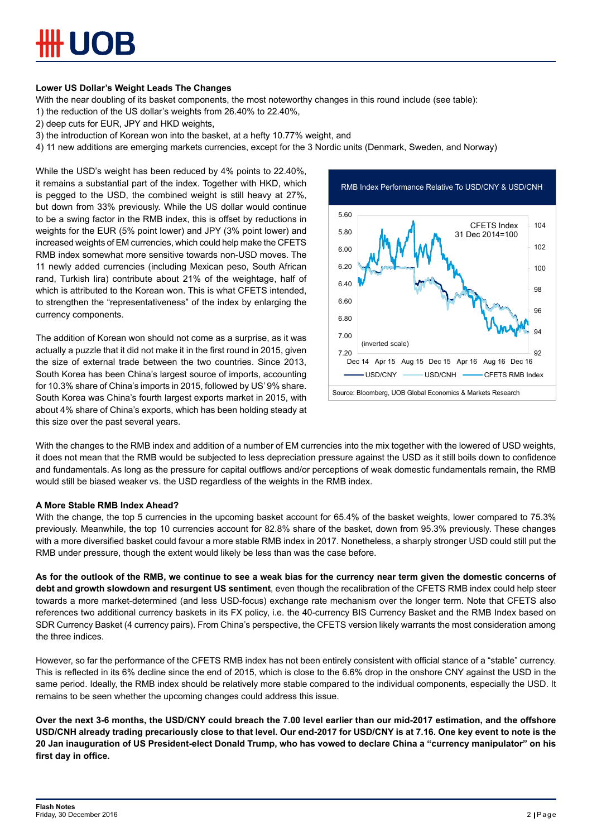#### **Lower US Dollar's Weight Leads The Changes**

With the near doubling of its basket components, the most noteworthy changes in this round include (see table):

- 1) the reduction of the US dollar's weights from 26.40% to 22.40%,
- 2) deep cuts for EUR, JPY and HKD weights,
- 3) the introduction of Korean won into the basket, at a hefty 10.77% weight, and
- 4) 11 new additions are emerging markets currencies, except for the 3 Nordic units (Denmark, Sweden, and Norway)

While the USD's weight has been reduced by 4% points to 22.40%, it remains a substantial part of the index. Together with HKD, which is pegged to the USD, the combined weight is still heavy at 27%, but down from 33% previously. While the US dollar would continue to be a swing factor in the RMB index, this is offset by reductions in weights for the EUR (5% point lower) and JPY (3% point lower) and increased weights of EM currencies, which could help make the CFETS RMB index somewhat more sensitive towards non-USD moves. The 11 newly added currencies (including Mexican peso, South African rand, Turkish lira) contribute about 21% of the weightage, half of which is attributed to the Korean won. This is what CFETS intended, to strengthen the "representativeness" of the index by enlarging the currency components.

The addition of Korean won should not come as a surprise, as it was actually a puzzle that it did not make it in the first round in 2015, given the size of external trade between the two countries. Since 2013, South Korea has been China's largest source of imports, accounting for 10.3% share of China's imports in 2015, followed by US' 9% share. South Korea was China's fourth largest exports market in 2015, with about 4% share of China's exports, which has been holding steady at this size over the past several years.



With the changes to the RMB index and addition of a number of EM currencies into the mix together with the lowered of USD weights, it does not mean that the RMB would be subjected to less depreciation pressure against the USD as it still boils down to confidence and fundamentals. As long as the pressure for capital outflows and/or perceptions of weak domestic fundamentals remain, the RMB would still be biased weaker vs. the USD regardless of the weights in the RMB index.

#### **A More Stable RMB Index Ahead?**

With the change, the top 5 currencies in the upcoming basket account for 65.4% of the basket weights, lower compared to 75.3% previously. Meanwhile, the top 10 currencies account for 82.8% share of the basket, down from 95.3% previously. These changes with a more diversified basket could favour a more stable RMB index in 2017. Nonetheless, a sharply stronger USD could still put the RMB under pressure, though the extent would likely be less than was the case before.

**As for the outlook of the RMB, we continue to see a weak bias for the currency near term given the domestic concerns of debt and growth slowdown and resurgent US sentiment**, even though the recalibration of the CFETS RMB index could help steer towards a more market-determined (and less USD-focus) exchange rate mechanism over the longer term. Note that CFETS also references two additional currency baskets in its FX policy, i.e. the 40-currency BIS Currency Basket and the RMB Index based on SDR Currency Basket (4 currency pairs). From China's perspective, the CFETS version likely warrants the most consideration among the three indices.

However, so far the performance of the CFETS RMB index has not been entirely consistent with official stance of a "stable" currency. This is reflected in its 6% decline since the end of 2015, which is close to the 6.6% drop in the onshore CNY against the USD in the same period. Ideally, the RMB index should be relatively more stable compared to the individual components, especially the USD. It remains to be seen whether the upcoming changes could address this issue.

**Over the next 3-6 months, the USD/CNY could breach the 7.00 level earlier than our mid-2017 estimation, and the offshore USD/CNH already trading precariously close to that level. Our end-2017 for USD/CNY is at 7.16. One key event to note is the 20 Jan inauguration of US President-elect Donald Trump, who has vowed to declare China a "currency manipulator" on his first day in office.**